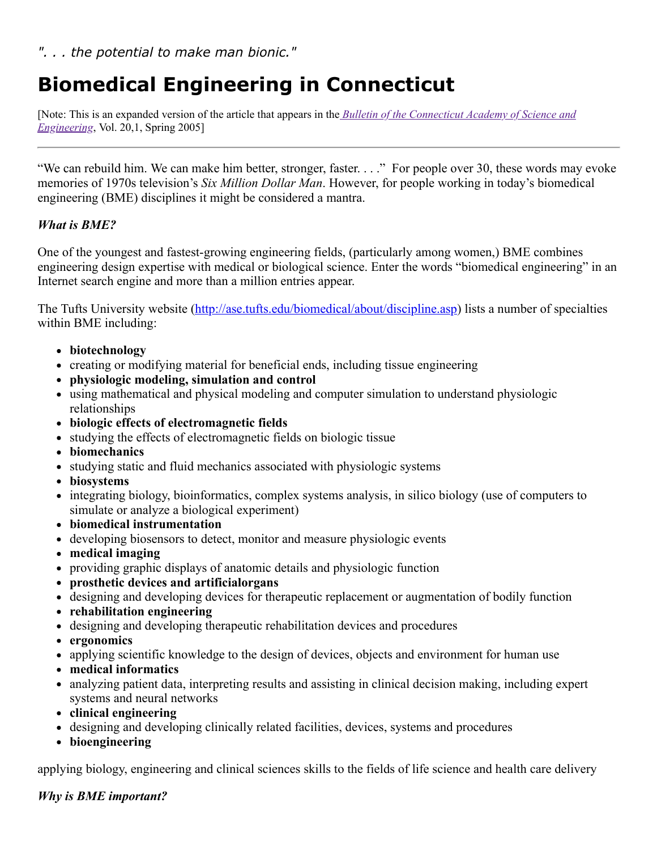# **Biomedical Engineering in Connecticut**

[\[Note: This is an expanded version of the article that appears in the](https://ctcase.org/bulletin/20_1.pdf) *Bulletin of the Connecticut Academy of Science and Engineering*, Vol. 20,1, Spring 2005]

"We can rebuild him. We can make him better, stronger, faster. . . ." For people over 30, these words may evoke memories of 1970s television's *Six Million Dollar Man*. However, for people working in today's biomedical engineering (BME) disciplines it might be considered a mantra.

## *What is BME?*

One of the youngest and fastest-growing engineering fields, (particularly among women,) BME combines engineering design expertise with medical or biological science. Enter the words "biomedical engineering" in an Internet search engine and more than a million entries appear.

The Tufts University website ([http://ase.tufts.edu/biomedical/about/discipline.asp\)](http://ase.tufts.edu/biomedical/about/discipline.asp) lists a number of specialties within BME including:

- **biotechnology**
- creating or modifying material for beneficial ends, including tissue engineering
- **physiologic modeling, simulation and control**
- using mathematical and physical modeling and computer simulation to understand physiologic relationships
- **biologic effects of electromagnetic fields**
- studying the effects of electromagnetic fields on biologic tissue
- **biomechanics**
- studying static and fluid mechanics associated with physiologic systems
- **biosystems**
- integrating biology, bioinformatics, complex systems analysis, in silico biology (use of computers to simulate or analyze a biological experiment)
- **biomedical instrumentation**
- developing biosensors to detect, monitor and measure physiologic events
- **medical imaging**
- providing graphic displays of anatomic details and physiologic function
- **prosthetic devices and artificialorgans**
- designing and developing devices for therapeutic replacement or augmentation of bodily function
- **rehabilitation engineering**
- designing and developing therapeutic rehabilitation devices and procedures
- **ergonomics**
- applying scientific knowledge to the design of devices, objects and environment for human use
- **medical informatics**
- analyzing patient data, interpreting results and assisting in clinical decision making, including expert systems and neural networks
- **clinical engineering**
- designing and developing clinically related facilities, devices, systems and procedures
- **bioengineering**

applying biology, engineering and clinical sciences skills to the fields of life science and health care delivery

### *Why is BME important?*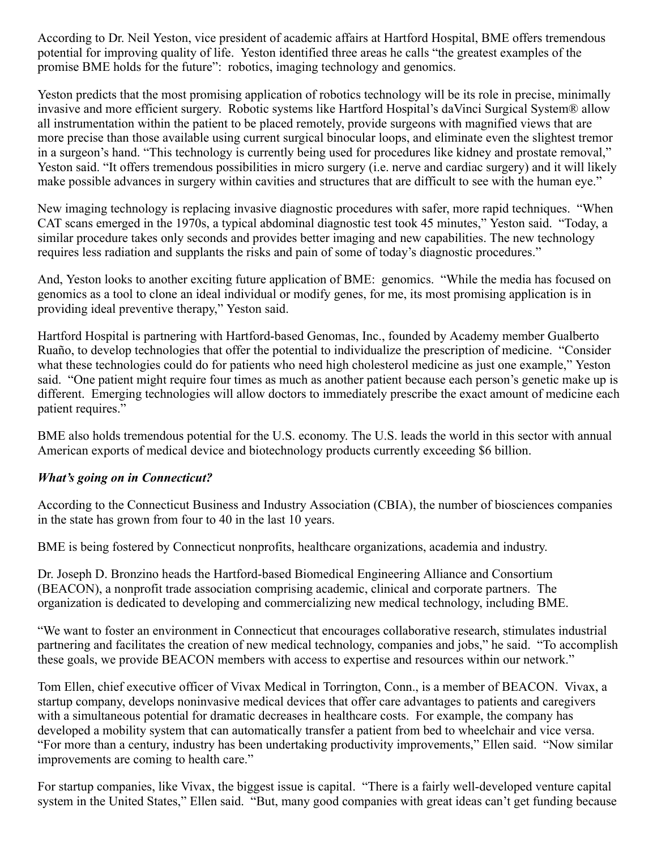According to Dr. Neil Yeston, vice president of academic affairs at Hartford Hospital, BME offers tremendous potential for improving quality of life. Yeston identified three areas he calls "the greatest examples of the promise BME holds for the future": robotics, imaging technology and genomics.

Yeston predicts that the most promising application of robotics technology will be its role in precise, minimally invasive and more efficient surgery. Robotic systems like Hartford Hospital's daVinci Surgical System® allow all instrumentation within the patient to be placed remotely, provide surgeons with magnified views that are more precise than those available using current surgical binocular loops, and eliminate even the slightest tremor in a surgeon's hand. "This technology is currently being used for procedures like kidney and prostate removal," Yeston said. "It offers tremendous possibilities in micro surgery (i.e. nerve and cardiac surgery) and it will likely make possible advances in surgery within cavities and structures that are difficult to see with the human eye."

New imaging technology is replacing invasive diagnostic procedures with safer, more rapid techniques. "When CAT scans emerged in the 1970s, a typical abdominal diagnostic test took 45 minutes," Yeston said. "Today, a similar procedure takes only seconds and provides better imaging and new capabilities. The new technology requires less radiation and supplants the risks and pain of some of today's diagnostic procedures."

And, Yeston looks to another exciting future application of BME: genomics. "While the media has focused on genomics as a tool to clone an ideal individual or modify genes, for me, its most promising application is in providing ideal preventive therapy," Yeston said.

Hartford Hospital is partnering with Hartford-based Genomas, Inc., founded by Academy member Gualberto Ruaño, to develop technologies that offer the potential to individualize the prescription of medicine. "Consider what these technologies could do for patients who need high cholesterol medicine as just one example," Yeston said. "One patient might require four times as much as another patient because each person's genetic make up is different. Emerging technologies will allow doctors to immediately prescribe the exact amount of medicine each patient requires."

BME also holds tremendous potential for the U.S. economy. The U.S. leads the world in this sector with annual American exports of medical device and biotechnology products currently exceeding \$6 billion.

### *What's going on in Connecticut?*

According to the Connecticut Business and Industry Association (CBIA), the number of biosciences companies in the state has grown from four to 40 in the last 10 years.

BME is being fostered by Connecticut nonprofits, healthcare organizations, academia and industry.

Dr. Joseph D. Bronzino heads the Hartford-based Biomedical Engineering Alliance and Consortium (BEACON), a nonprofit trade association comprising academic, clinical and corporate partners. The organization is dedicated to developing and commercializing new medical technology, including BME.

"We want to foster an environment in Connecticut that encourages collaborative research, stimulates industrial partnering and facilitates the creation of new medical technology, companies and jobs," he said. "To accomplish these goals, we provide BEACON members with access to expertise and resources within our network."

Tom Ellen, chief executive officer of Vivax Medical in Torrington, Conn., is a member of BEACON. Vivax, a startup company, develops noninvasive medical devices that offer care advantages to patients and caregivers with a simultaneous potential for dramatic decreases in healthcare costs. For example, the company has developed a mobility system that can automatically transfer a patient from bed to wheelchair and vice versa. "For more than a century, industry has been undertaking productivity improvements," Ellen said. "Now similar improvements are coming to health care."

For startup companies, like Vivax, the biggest issue is capital. "There is a fairly well-developed venture capital system in the United States," Ellen said. "But, many good companies with great ideas can't get funding because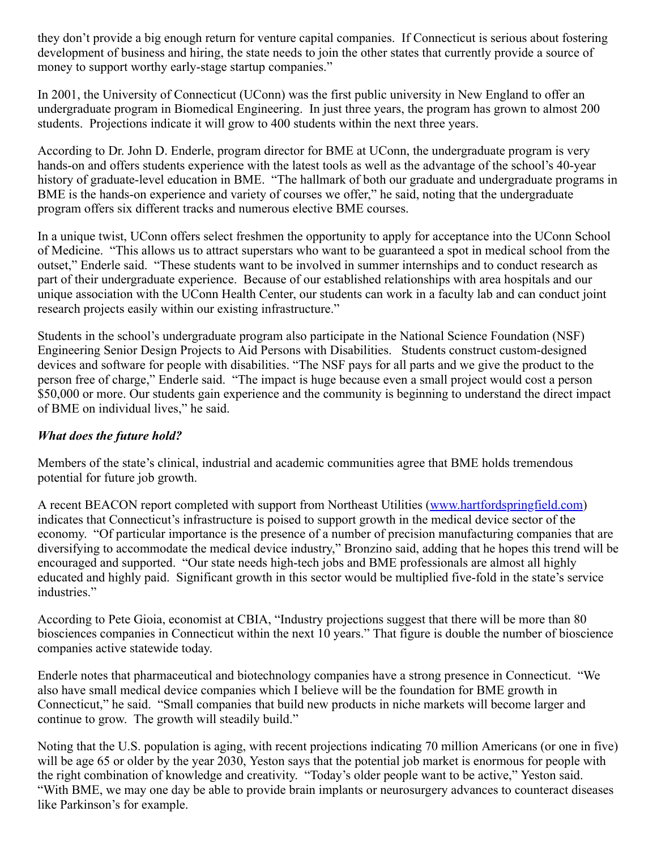they don't provide a big enough return for venture capital companies. If Connecticut is serious about fostering development of business and hiring, the state needs to join the other states that currently provide a source of money to support worthy early-stage startup companies."

In 2001, the University of Connecticut (UConn) was the first public university in New England to offer an undergraduate program in Biomedical Engineering. In just three years, the program has grown to almost 200 students. Projections indicate it will grow to 400 students within the next three years.

According to Dr. John D. Enderle, program director for BME at UConn, the undergraduate program is very hands-on and offers students experience with the latest tools as well as the advantage of the school's 40-year history of graduate-level education in BME. "The hallmark of both our graduate and undergraduate programs in BME is the hands-on experience and variety of courses we offer," he said, noting that the undergraduate program offers six different tracks and numerous elective BME courses.

In a unique twist, UConn offers select freshmen the opportunity to apply for acceptance into the UConn School of Medicine. "This allows us to attract superstars who want to be guaranteed a spot in medical school from the outset," Enderle said. "These students want to be involved in summer internships and to conduct research as part of their undergraduate experience. Because of our established relationships with area hospitals and our unique association with the UConn Health Center, our students can work in a faculty lab and can conduct joint research projects easily within our existing infrastructure."

Students in the school's undergraduate program also participate in the National Science Foundation (NSF) Engineering Senior Design Projects to Aid Persons with Disabilities. Students construct custom-designed devices and software for people with disabilities. "The NSF pays for all parts and we give the product to the person free of charge," Enderle said. "The impact is huge because even a small project would cost a person \$50,000 or more. Our students gain experience and the community is beginning to understand the direct impact of BME on individual lives," he said.

### *What does the future hold?*

Members of the state's clinical, industrial and academic communities agree that BME holds tremendous potential for future job growth.

A recent BEACON report completed with support from Northeast Utilities ([www.hartfordspringfield.com\)](http://www.hartfordspringfield.com/) indicates that Connecticut's infrastructure is poised to support growth in the medical device sector of the economy. "Of particular importance is the presence of a number of precision manufacturing companies that are diversifying to accommodate the medical device industry," Bronzino said, adding that he hopes this trend will be encouraged and supported. "Our state needs high-tech jobs and BME professionals are almost all highly educated and highly paid. Significant growth in this sector would be multiplied five-fold in the state's service industries."

According to Pete Gioia, economist at CBIA, "Industry projections suggest that there will be more than 80 biosciences companies in Connecticut within the next 10 years." That figure is double the number of bioscience companies active statewide today.

Enderle notes that pharmaceutical and biotechnology companies have a strong presence in Connecticut. "We also have small medical device companies which I believe will be the foundation for BME growth in Connecticut," he said. "Small companies that build new products in niche markets will become larger and continue to grow. The growth will steadily build."

Noting that the U.S. population is aging, with recent projections indicating 70 million Americans (or one in five) will be age 65 or older by the year 2030, Yeston says that the potential job market is enormous for people with the right combination of knowledge and creativity. "Today's older people want to be active," Yeston said. "With BME, we may one day be able to provide brain implants or neurosurgery advances to counteract diseases like Parkinson's for example.